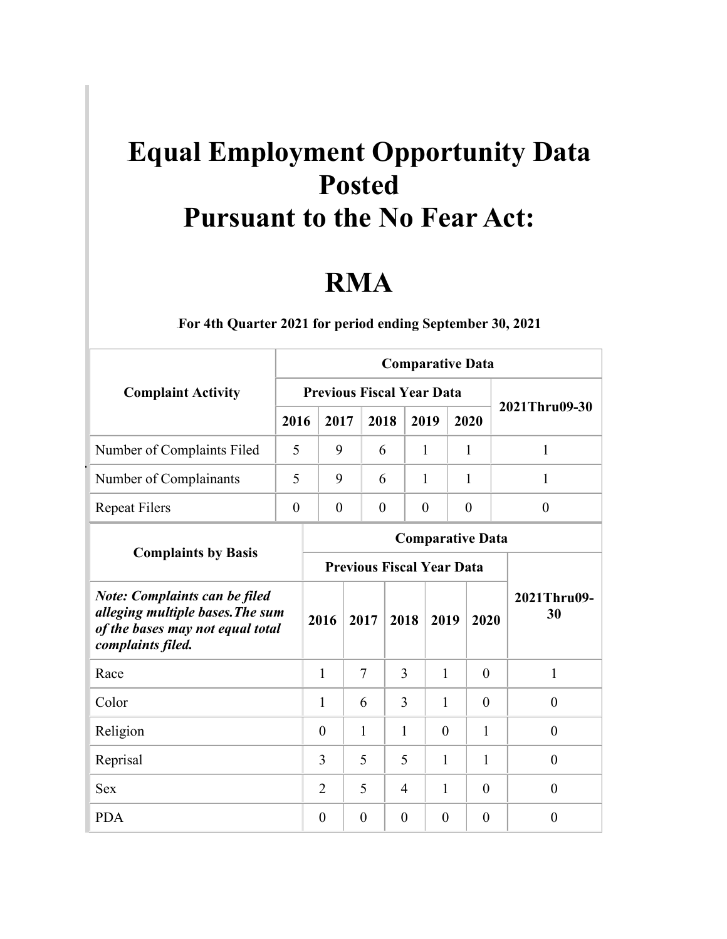## **Equal Employment Opportunity Data Posted Pursuant to the No Fear Act:**

## **RMA**

|                                                                                                                                   |                |                                  |                                  |          |                | <b>Comparative Data</b> |                |                   |  |          |
|-----------------------------------------------------------------------------------------------------------------------------------|----------------|----------------------------------|----------------------------------|----------|----------------|-------------------------|----------------|-------------------|--|----------|
| <b>Complaint Activity</b>                                                                                                         |                | <b>Previous Fiscal Year Data</b> |                                  |          |                |                         |                |                   |  |          |
|                                                                                                                                   | 2016           | 2017                             |                                  | 2018     | 2019           |                         | 2020           | 2021Thru09-30     |  |          |
| Number of Complaints Filed                                                                                                        | 5              | 9                                |                                  | 6        |                | 1                       | 1              | 1                 |  |          |
| Number of Complainants                                                                                                            | 5              | 9                                |                                  | 6        |                | 1                       | 1              | 1                 |  |          |
| <b>Repeat Filers</b>                                                                                                              | $\overline{0}$ | $\boldsymbol{0}$                 |                                  | $\theta$ | $\overline{0}$ |                         | $\overline{0}$ | $\overline{0}$    |  |          |
|                                                                                                                                   |                |                                  |                                  |          |                | <b>Comparative Data</b> |                |                   |  |          |
| <b>Complaints by Basis</b>                                                                                                        |                |                                  | <b>Previous Fiscal Year Data</b> |          |                |                         |                |                   |  |          |
| <b>Note: Complaints can be filed</b><br>alleging multiple bases. The sum<br>of the bases may not equal total<br>complaints filed. |                | 2016                             | 2017                             |          | 2018           | 2019                    | 2020           | 2021Thru09-<br>30 |  |          |
| Race                                                                                                                              |                | 1                                | $\overline{7}$                   |          | 3              | $\mathbf{1}$            | $\theta$       | 1                 |  |          |
| Color                                                                                                                             |                | 1                                | 6                                |          | 3              | 1                       | $\theta$       | $\theta$          |  |          |
| Religion                                                                                                                          |                | $\theta$                         | 1                                |          | 1              | $\theta$                | 1              | $\theta$          |  |          |
| Reprisal                                                                                                                          |                | 3                                | 5                                |          | 5              | $\mathbf{1}$            | 1              | $\theta$          |  |          |
| <b>Sex</b>                                                                                                                        |                | $\overline{2}$                   | 5                                |          | 4              | $\mathbf{1}$            |                | $\theta$          |  | $\theta$ |
| <b>PDA</b>                                                                                                                        |                | $\theta$                         | $\theta$                         |          | $\theta$       | $\theta$                | $\theta$       | $\theta$          |  |          |

1B**For 4th Quarter 2021 for period ending September 30, 2021**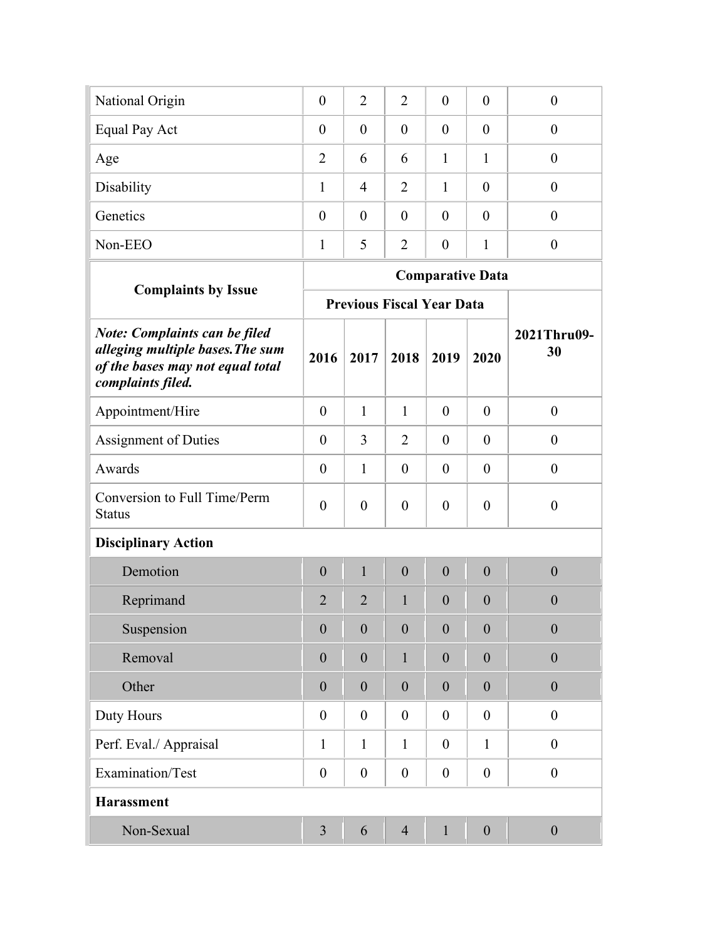| National Origin      | $\overline{0}$ | $\overline{2}$ | $\overline{2}$ | $\theta$       | $\theta$ |  |
|----------------------|----------------|----------------|----------------|----------------|----------|--|
| <b>Equal Pay Act</b> | $\theta$       | $\theta$       | $\overline{0}$ | $\theta$       | $\theta$ |  |
| Age                  | 2              | 6              | 6              |                |          |  |
| Disability           |                | $\overline{4}$ | 2              | 1              | $\Omega$ |  |
| Genetics             | $\theta$       | $\overline{0}$ | $\overline{0}$ | $\theta$       | $\theta$ |  |
| Non-EEO              |                | 5              | $\overline{2}$ | $\overline{0}$ |          |  |
|                      |                |                |                |                |          |  |

|                                                                                                                                   |                  |                  |                  | <b>Comparative Data</b>          |                  |                   |
|-----------------------------------------------------------------------------------------------------------------------------------|------------------|------------------|------------------|----------------------------------|------------------|-------------------|
| <b>Complaints by Issue</b>                                                                                                        |                  |                  |                  | <b>Previous Fiscal Year Data</b> |                  |                   |
| <b>Note: Complaints can be filed</b><br>alleging multiple bases. The sum<br>of the bases may not equal total<br>complaints filed. | 2016             | 2017             | 2018             | 2019                             | 2020             | 2021Thru09-<br>30 |
| Appointment/Hire                                                                                                                  | $\boldsymbol{0}$ | 1                | $\mathbf{1}$     | $\theta$                         | $\theta$         | $\boldsymbol{0}$  |
| <b>Assignment of Duties</b>                                                                                                       | $\boldsymbol{0}$ | 3                | $\overline{2}$   | $\theta$                         | $\boldsymbol{0}$ | $\boldsymbol{0}$  |
| Awards                                                                                                                            | $\overline{0}$   | 1                | $\overline{0}$   | $\overline{0}$                   | $\theta$         | $\overline{0}$    |
| Conversion to Full Time/Perm<br><b>Status</b>                                                                                     | $\overline{0}$   | $\overline{0}$   | $\overline{0}$   | $\overline{0}$                   | $\overline{0}$   | $\overline{0}$    |
| <b>Disciplinary Action</b>                                                                                                        |                  |                  |                  |                                  |                  |                   |
| Demotion                                                                                                                          | $\overline{0}$   | $\mathbf{1}$     | $\boldsymbol{0}$ | $\overline{0}$                   | $\overline{0}$   | $\overline{0}$    |
| Reprimand                                                                                                                         | $\overline{2}$   | $\overline{2}$   | 1                | $\theta$                         | $\overline{0}$   | $\overline{0}$    |
| Suspension                                                                                                                        | $\boldsymbol{0}$ | $\overline{0}$   | $\boldsymbol{0}$ | $\boldsymbol{0}$                 | $\overline{0}$   | $\overline{0}$    |
| Removal                                                                                                                           | $\boldsymbol{0}$ | $\overline{0}$   | 1                | $\boldsymbol{0}$                 | $\theta$         | $\theta$          |
| Other                                                                                                                             | $\boldsymbol{0}$ | $\boldsymbol{0}$ | $\boldsymbol{0}$ | $\theta$                         | $\overline{0}$   | $\overline{0}$    |
| Duty Hours                                                                                                                        | $\boldsymbol{0}$ | $\boldsymbol{0}$ | $\overline{0}$   | $\overline{0}$                   | $\mathbf{0}$     | $\boldsymbol{0}$  |
| Perf. Eval./ Appraisal                                                                                                            | $\mathbf{1}$     | 1                | 1                | $\overline{0}$                   | $\mathbf{1}$     | $\overline{0}$    |
| Examination/Test                                                                                                                  | $\overline{0}$   | $\boldsymbol{0}$ | $\boldsymbol{0}$ | $\overline{0}$                   | $\mathbf{0}$     | $\boldsymbol{0}$  |
| <b>Harassment</b>                                                                                                                 |                  |                  |                  |                                  |                  |                   |
| Non-Sexual                                                                                                                        | $\overline{3}$   | 6                | $\overline{4}$   | 1                                | $\overline{0}$   | $\boldsymbol{0}$  |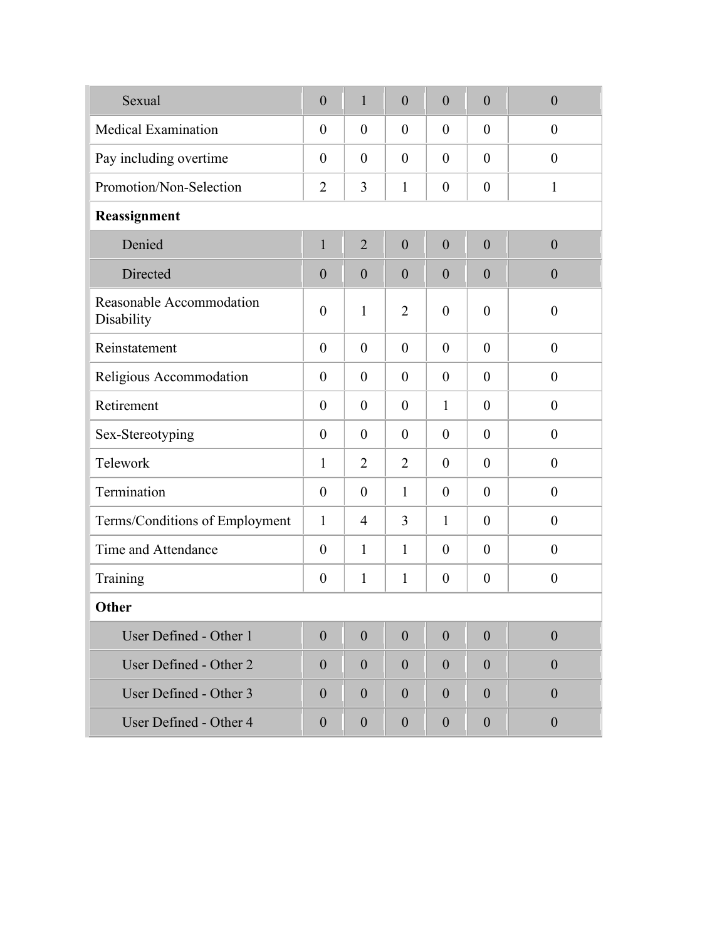| Sexual                                 | $\overline{0}$   | $\mathbf{1}$   | $\overline{0}$ | $\overline{0}$   | $\overline{0}$   | $\overline{0}$   |
|----------------------------------------|------------------|----------------|----------------|------------------|------------------|------------------|
| <b>Medical Examination</b>             | $\theta$         | $\theta$       | $\overline{0}$ | $\theta$         | $\theta$         | $\overline{0}$   |
| Pay including overtime                 | $\theta$         | $\theta$       | $\overline{0}$ | $\theta$         | $\theta$         | $\overline{0}$   |
| Promotion/Non-Selection                | $\overline{2}$   | 3              | 1              | $\boldsymbol{0}$ | $\boldsymbol{0}$ | $\mathbf{1}$     |
| Reassignment                           |                  |                |                |                  |                  |                  |
| Denied                                 | $\mathbf{1}$     | $\overline{2}$ | $\overline{0}$ | $\overline{0}$   | $\overline{0}$   | $\overline{0}$   |
| Directed                               | $\overline{0}$   | $\overline{0}$ | $\overline{0}$ | $\overline{0}$   | $\overline{0}$   | $\boldsymbol{0}$ |
| Reasonable Accommodation<br>Disability | $\overline{0}$   | $\mathbf{1}$   | $\overline{2}$ | $\theta$         | $\theta$         | $\overline{0}$   |
| Reinstatement                          | $\overline{0}$   | $\overline{0}$ | $\theta$       | $\theta$         | $\theta$         | $\overline{0}$   |
| Religious Accommodation                | $\theta$         | $\theta$       | $\overline{0}$ | $\theta$         | $\theta$         | $\overline{0}$   |
| Retirement                             | $\theta$         | $\theta$       | $\overline{0}$ | $\mathbf{1}$     | $\theta$         | $\theta$         |
| Sex-Stereotyping                       | $\theta$         | $\theta$       | $\overline{0}$ | $\theta$         | $\theta$         | $\theta$         |
| Telework                               | 1                | $\overline{2}$ | $\overline{2}$ | $\theta$         | $\theta$         | $\overline{0}$   |
| Termination                            | $\overline{0}$   | $\theta$       | $\mathbf{1}$   | $\theta$         | $\theta$         | $\overline{0}$   |
| Terms/Conditions of Employment         | $\mathbf{1}$     | $\overline{4}$ | 3              | $\mathbf{1}$     | $\theta$         | $\overline{0}$   |
| Time and Attendance                    | $\theta$         | 1              | 1              | $\theta$         | $\theta$         | $\theta$         |
| Training                               | $\boldsymbol{0}$ | 1              | 1              | $\boldsymbol{0}$ | $\boldsymbol{0}$ | $\boldsymbol{0}$ |
| Other                                  |                  |                |                |                  |                  |                  |
| User Defined - Other 1                 | $\overline{0}$   | $\overline{0}$ | $\overline{0}$ | $\theta$         | $\overline{0}$   | $\boldsymbol{0}$ |
| User Defined - Other 2                 | $\overline{0}$   | $\theta$       | $\overline{0}$ | $\overline{0}$   | $\theta$         | $\boldsymbol{0}$ |
| User Defined - Other 3                 | $\overline{0}$   | $\theta$       | $\overline{0}$ | $\theta$         | $\theta$         | $\theta$         |
| User Defined - Other 4                 | $\boldsymbol{0}$ | $\theta$       | $\overline{0}$ | $\theta$         | $\theta$         | $\boldsymbol{0}$ |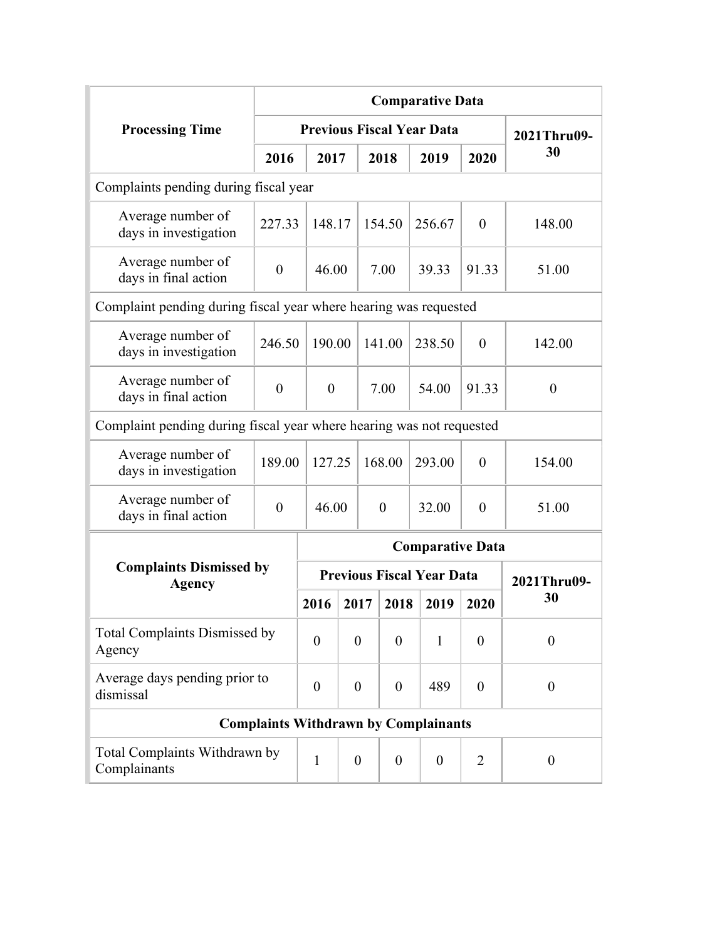|                                                                      |                |                |                  |                  |                | <b>Comparative Data</b>                     |          |                  |          |          |
|----------------------------------------------------------------------|----------------|----------------|------------------|------------------|----------------|---------------------------------------------|----------|------------------|----------|----------|
| <b>Processing Time</b>                                               |                |                |                  |                  |                | <b>Previous Fiscal Year Data</b>            |          | 2021Thru09-      |          |          |
|                                                                      | 2016           | 2017           |                  |                  | 2018           | 2019                                        | 2020     | 30               |          |          |
| Complaints pending during fiscal year                                |                |                |                  |                  |                |                                             |          |                  |          |          |
| Average number of<br>days in investigation                           | 227.33         | 148.17         |                  |                  | 154.50         | 256.67                                      | $\theta$ | 148.00           |          |          |
| Average number of<br>days in final action                            | $\overline{0}$ | 46.00          |                  |                  | 7.00           | 39.33                                       | 91.33    | 51.00            |          |          |
| Complaint pending during fiscal year where hearing was requested     |                |                |                  |                  |                |                                             |          |                  |          |          |
| Average number of<br>days in investigation                           | 246.50         | 190.00         |                  | 141.00           |                | 238.50                                      | $\theta$ | 142.00           |          |          |
| Average number of<br>days in final action                            | $\overline{0}$ | $\theta$       |                  |                  | 7.00           | 54.00                                       | 91.33    | $\overline{0}$   |          |          |
| Complaint pending during fiscal year where hearing was not requested |                |                |                  |                  |                |                                             |          |                  |          |          |
| Average number of<br>days in investigation                           | 189.00         | 127.25         |                  |                  | 168.00         | 293.00                                      | $\theta$ | 154.00           |          |          |
| Average number of<br>days in final action                            | $\theta$       | 46.00          |                  |                  | $\theta$       | 32.00                                       | $\theta$ | 51.00            |          |          |
|                                                                      |                |                |                  |                  |                | <b>Comparative Data</b>                     |          |                  |          |          |
| <b>Complaints Dismissed by</b><br><b>Agency</b>                      |                |                |                  |                  |                | <b>Previous Fiscal Year Data</b>            |          | 2021Thru09-      |          |          |
|                                                                      |                | 2016           | 2017             |                  | 2018           | 2019                                        | 2020     | 30               |          |          |
| <b>Total Complaints Dismissed by</b><br>Agency                       |                | $\overline{0}$ | $\overline{0}$   |                  | $\overline{0}$ | $\mathbf{1}$                                | $\theta$ | $\theta$         |          |          |
| Average days pending prior to<br>dismissal                           |                | $\overline{0}$ | $\overline{0}$   |                  |                | $\boldsymbol{0}$                            |          | 489              | $\theta$ | $\theta$ |
|                                                                      |                |                |                  |                  |                | <b>Complaints Withdrawn by Complainants</b> |          |                  |          |          |
| Total Complaints Withdrawn by<br>Complainants                        |                | $\mathbf{1}$   | $\boldsymbol{0}$ | $\boldsymbol{0}$ |                | $\boldsymbol{0}$                            | 2        | $\boldsymbol{0}$ |          |          |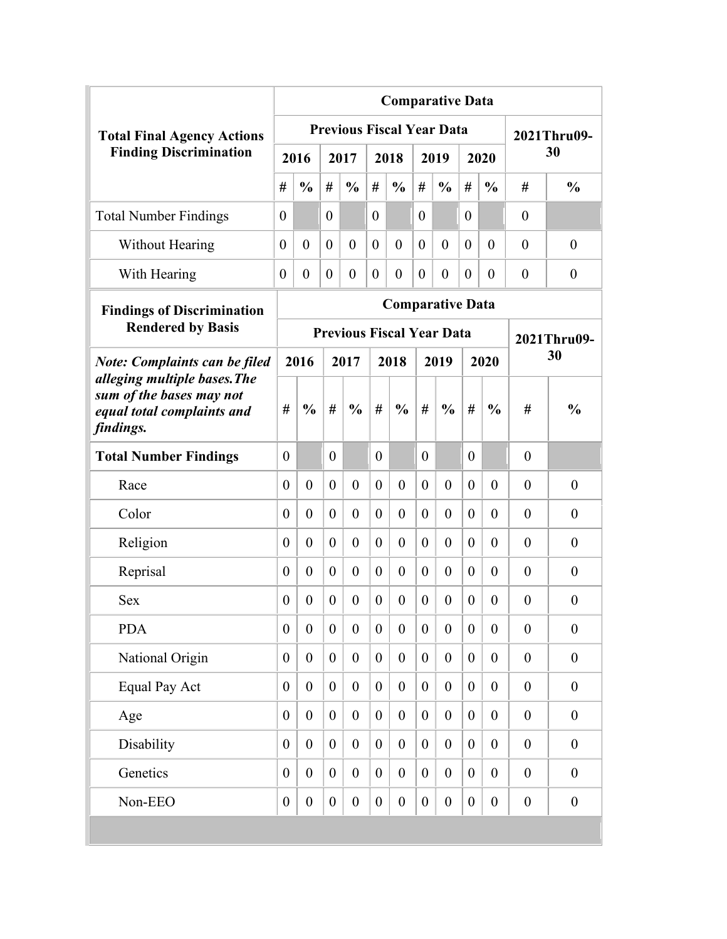|                                                                                                     |                                      |                  |                  |                  |                  | <b>Comparative Data</b>          |                  |                  |                  |                  |                  |                  |
|-----------------------------------------------------------------------------------------------------|--------------------------------------|------------------|------------------|------------------|------------------|----------------------------------|------------------|------------------|------------------|------------------|------------------|------------------|
| <b>Total Final Agency Actions</b>                                                                   |                                      |                  |                  |                  |                  | <b>Previous Fiscal Year Data</b> |                  |                  |                  |                  |                  | 2021Thru09-      |
| <b>Finding Discrimination</b>                                                                       |                                      | 2016             |                  | 2017             |                  | 2018                             |                  | 2019             |                  | 2020             |                  | 30               |
|                                                                                                     | #                                    | $\frac{0}{0}$    | #                | $\frac{0}{0}$    | #                | $\frac{0}{0}$                    | #                | $\frac{0}{0}$    | #                | $\frac{0}{0}$    | #                | $\frac{0}{0}$    |
| <b>Total Number Findings</b>                                                                        | $\theta$                             |                  | $\theta$         |                  | $\theta$         |                                  | $\theta$         |                  | $\theta$         |                  | $\theta$         |                  |
| <b>Without Hearing</b>                                                                              | $\theta$                             | $\theta$         | $\theta$         | $\theta$         | $\theta$         | $\theta$                         | $\theta$         | $\theta$         | $\theta$         | $\theta$         | $\theta$         | $\overline{0}$   |
| With Hearing                                                                                        | $\theta$                             | $\overline{0}$   | $\theta$         | $\theta$         | $\theta$         | $\theta$                         | $\overline{0}$   | $\theta$         | $\theta$         | $\Omega$         | $\theta$         | $\overline{0}$   |
| <b>Findings of Discrimination</b>                                                                   |                                      |                  |                  |                  |                  | <b>Comparative Data</b>          |                  |                  |                  |                  |                  |                  |
| <b>Rendered by Basis</b>                                                                            |                                      |                  |                  |                  |                  | <b>Previous Fiscal Year Data</b> |                  |                  |                  |                  |                  | 2021Thru09-      |
| <b>Note: Complaints can be filed</b>                                                                | 2016<br>2017<br>2018<br>2019<br>2020 |                  |                  |                  |                  |                                  |                  |                  |                  | 30               |                  |                  |
| alleging multiple bases. The<br>sum of the bases may not<br>equal total complaints and<br>findings. | #                                    | $\frac{0}{0}$    | #                | $\frac{0}{0}$    | #                | $\frac{0}{0}$                    | #                | $\frac{0}{0}$    | #                | $\frac{0}{0}$    | #                | $\frac{0}{0}$    |
| <b>Total Number Findings</b>                                                                        | $\theta$                             |                  | $\theta$         |                  | $\theta$         |                                  | $\theta$         |                  | $\theta$         |                  | $\theta$         |                  |
| Race                                                                                                | $\theta$                             | $\theta$         | $\theta$         | $\theta$         | $\theta$         | $\overline{0}$                   | $\theta$         | $\theta$         | $\overline{0}$   | $\theta$         | $\theta$         | $\overline{0}$   |
| Color                                                                                               | $\overline{0}$                       | $\overline{0}$   | $\overline{0}$   | $\theta$         | $\theta$         | $\theta$                         | $\overline{0}$   | $\theta$         | $\overline{0}$   | $\theta$         | $\theta$         | $\overline{0}$   |
| Religion                                                                                            | $\overline{0}$                       | $\overline{0}$   | $\theta$         | $\theta$         | $\theta$         | $\theta$                         | $\overline{0}$   | $\theta$         | $\theta$         | $\theta$         | $\theta$         | $\overline{0}$   |
| Reprisal                                                                                            | $\theta$                             | $\overline{0}$   | $\theta$         | $\theta$         | $\theta$         | $\theta$                         | $\overline{0}$   | $\theta$         | $\theta$         | $\theta$         | $\theta$         | $\theta$         |
| <b>Sex</b>                                                                                          | $\overline{0}$                       | $\theta$         | $\theta$         | $\theta$         | $\theta$         | $\theta$                         | $\theta$         | $\theta$         | $\theta$         | $\theta$         | $\theta$         | $\overline{0}$   |
| <b>PDA</b>                                                                                          | $\boldsymbol{0}$                     | $\boldsymbol{0}$ | $\boldsymbol{0}$ | $\boldsymbol{0}$ | $\boldsymbol{0}$ | $\boldsymbol{0}$                 | $\boldsymbol{0}$ | $\boldsymbol{0}$ | $\boldsymbol{0}$ | $\boldsymbol{0}$ | $\boldsymbol{0}$ | $\boldsymbol{0}$ |
| National Origin                                                                                     | $\boldsymbol{0}$                     | $\overline{0}$   | $\boldsymbol{0}$ | $\boldsymbol{0}$ | $\boldsymbol{0}$ | $\boldsymbol{0}$                 | $\overline{0}$   | $\boldsymbol{0}$ | $\overline{0}$   | $\overline{0}$   | $\boldsymbol{0}$ | $\boldsymbol{0}$ |
| <b>Equal Pay Act</b>                                                                                | $\boldsymbol{0}$                     | $\overline{0}$   | $\boldsymbol{0}$ | $\boldsymbol{0}$ | $\boldsymbol{0}$ | $\boldsymbol{0}$                 | $\overline{0}$   | $\boldsymbol{0}$ | $\overline{0}$   | $\overline{0}$   | $\boldsymbol{0}$ | $\boldsymbol{0}$ |
| Age                                                                                                 | $\boldsymbol{0}$                     | $\overline{0}$   | $\overline{0}$   | $\boldsymbol{0}$ | $\boldsymbol{0}$ | $\boldsymbol{0}$                 | $\overline{0}$   | $\boldsymbol{0}$ | $\overline{0}$   | $\overline{0}$   | $\boldsymbol{0}$ | $\boldsymbol{0}$ |
| Disability                                                                                          | $\boldsymbol{0}$                     | $\overline{0}$   | $\boldsymbol{0}$ | $\overline{0}$   | $\boldsymbol{0}$ | $\boldsymbol{0}$                 | $\overline{0}$   | $\boldsymbol{0}$ | $\overline{0}$   | $\boldsymbol{0}$ | $\boldsymbol{0}$ | $\boldsymbol{0}$ |
| Genetics                                                                                            | $\boldsymbol{0}$                     | $\overline{0}$   | $\boldsymbol{0}$ | $\boldsymbol{0}$ | $\boldsymbol{0}$ | $\boldsymbol{0}$                 | $\overline{0}$   | $\boldsymbol{0}$ | $\boldsymbol{0}$ | $\boldsymbol{0}$ | $\boldsymbol{0}$ | $\boldsymbol{0}$ |
| Non-EEO                                                                                             | $\boldsymbol{0}$                     | $\boldsymbol{0}$ | $\boldsymbol{0}$ | $\boldsymbol{0}$ | $\boldsymbol{0}$ | $\boldsymbol{0}$                 | $\boldsymbol{0}$ | $\boldsymbol{0}$ | $\boldsymbol{0}$ | $\boldsymbol{0}$ | $\boldsymbol{0}$ | $\boldsymbol{0}$ |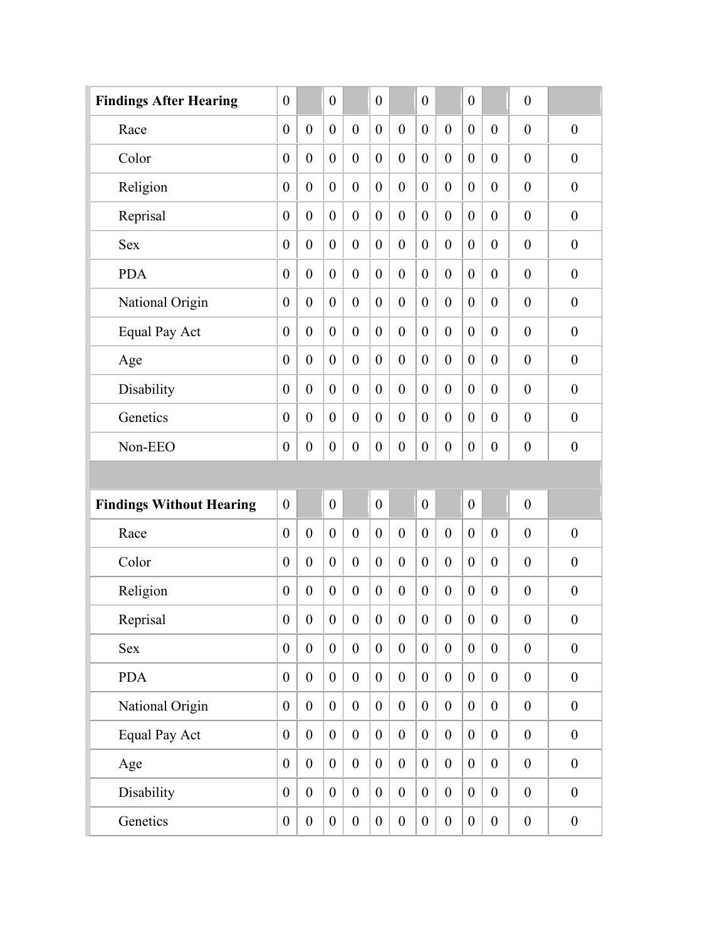| <b>Findings After Hearing</b>   | $\boldsymbol{0}$ |                  | $\boldsymbol{0}$ |                  | $\overline{0}$   |                  | $\boldsymbol{0}$ |                  | $\boldsymbol{0}$ |                  | $\boldsymbol{0}$ |                  |
|---------------------------------|------------------|------------------|------------------|------------------|------------------|------------------|------------------|------------------|------------------|------------------|------------------|------------------|
| Race                            | $\boldsymbol{0}$ | $\boldsymbol{0}$ | $\boldsymbol{0}$ | $\boldsymbol{0}$ | $\boldsymbol{0}$ | $\boldsymbol{0}$ | $\boldsymbol{0}$ | $\boldsymbol{0}$ | $\boldsymbol{0}$ | $\boldsymbol{0}$ | $\boldsymbol{0}$ | $\boldsymbol{0}$ |
| Color                           | $\boldsymbol{0}$ | $\boldsymbol{0}$ | $\boldsymbol{0}$ | $\boldsymbol{0}$ | $\boldsymbol{0}$ | $\boldsymbol{0}$ | $\boldsymbol{0}$ | $\boldsymbol{0}$ | $\boldsymbol{0}$ | $\boldsymbol{0}$ | $\boldsymbol{0}$ | $\boldsymbol{0}$ |
| Religion                        | $\boldsymbol{0}$ | $\boldsymbol{0}$ | $\boldsymbol{0}$ | $\boldsymbol{0}$ | $\boldsymbol{0}$ | $\boldsymbol{0}$ | $\theta$         | $\boldsymbol{0}$ | $\boldsymbol{0}$ | $\boldsymbol{0}$ | $\boldsymbol{0}$ | $\boldsymbol{0}$ |
| Reprisal                        | $\boldsymbol{0}$ | $\boldsymbol{0}$ | $\boldsymbol{0}$ | $\theta$         | $\boldsymbol{0}$ | $\boldsymbol{0}$ | $\theta$         | $\boldsymbol{0}$ | $\boldsymbol{0}$ | $\theta$         | $\boldsymbol{0}$ | $\boldsymbol{0}$ |
| <b>Sex</b>                      | $\boldsymbol{0}$ | $\boldsymbol{0}$ | $\boldsymbol{0}$ | $\boldsymbol{0}$ | $\boldsymbol{0}$ | $\boldsymbol{0}$ | $\boldsymbol{0}$ | $\boldsymbol{0}$ | $\boldsymbol{0}$ | $\boldsymbol{0}$ | $\boldsymbol{0}$ | $\boldsymbol{0}$ |
| <b>PDA</b>                      | $\boldsymbol{0}$ | $\boldsymbol{0}$ | $\boldsymbol{0}$ | $\theta$         | $\boldsymbol{0}$ | $\boldsymbol{0}$ | $\theta$         | $\boldsymbol{0}$ | $\boldsymbol{0}$ | $\boldsymbol{0}$ | $\boldsymbol{0}$ | $\boldsymbol{0}$ |
| National Origin                 | $\boldsymbol{0}$ | $\boldsymbol{0}$ | $\boldsymbol{0}$ | $\boldsymbol{0}$ | $\boldsymbol{0}$ | $\boldsymbol{0}$ | $\boldsymbol{0}$ | $\boldsymbol{0}$ | $\boldsymbol{0}$ | $\boldsymbol{0}$ | $\boldsymbol{0}$ | $\boldsymbol{0}$ |
| Equal Pay Act                   | $\boldsymbol{0}$ | $\boldsymbol{0}$ | $\boldsymbol{0}$ | $\theta$         | $\boldsymbol{0}$ | $\boldsymbol{0}$ | $\theta$         | $\boldsymbol{0}$ | $\boldsymbol{0}$ | $\boldsymbol{0}$ | $\boldsymbol{0}$ | $\boldsymbol{0}$ |
| Age                             | $\boldsymbol{0}$ | $\boldsymbol{0}$ | $\boldsymbol{0}$ | $\theta$         | $\boldsymbol{0}$ | $\boldsymbol{0}$ | $\overline{0}$   | $\boldsymbol{0}$ | $\boldsymbol{0}$ | $\boldsymbol{0}$ | $\boldsymbol{0}$ | $\boldsymbol{0}$ |
| Disability                      | $\boldsymbol{0}$ | $\boldsymbol{0}$ | $\boldsymbol{0}$ | $\theta$         | $\boldsymbol{0}$ | $\boldsymbol{0}$ | $\theta$         | $\boldsymbol{0}$ | $\boldsymbol{0}$ | $\theta$         | $\boldsymbol{0}$ | $\boldsymbol{0}$ |
| Genetics                        | $\boldsymbol{0}$ | $\boldsymbol{0}$ | $\boldsymbol{0}$ | $\theta$         | $\boldsymbol{0}$ | $\boldsymbol{0}$ | $\theta$         | $\boldsymbol{0}$ | $\boldsymbol{0}$ | $\theta$         | $\boldsymbol{0}$ | $\boldsymbol{0}$ |
| Non-EEO                         | $\boldsymbol{0}$ | $\boldsymbol{0}$ | $\boldsymbol{0}$ | $\theta$         | $\boldsymbol{0}$ | $\boldsymbol{0}$ | $\boldsymbol{0}$ | $\boldsymbol{0}$ | $\boldsymbol{0}$ | $\boldsymbol{0}$ | $\boldsymbol{0}$ | $\mathbf{0}$     |
|                                 |                  |                  |                  |                  |                  |                  |                  |                  |                  |                  |                  |                  |
| <b>Findings Without Hearing</b> | $\boldsymbol{0}$ |                  | $\boldsymbol{0}$ |                  | $\boldsymbol{0}$ |                  | $\boldsymbol{0}$ |                  | $\boldsymbol{0}$ |                  | $\boldsymbol{0}$ |                  |
| Race                            | $\overline{0}$   | $\mathbf{0}$     | $\overline{0}$   | $\theta$         | $\boldsymbol{0}$ | $\theta$         | $\overline{0}$   | $\mathbf{0}$     | $\boldsymbol{0}$ | $\mathbf{0}$     | $\overline{0}$   | $\mathbf{0}$     |
| Color                           | $\overline{0}$   | $\mathbf{0}$     | $\boldsymbol{0}$ |                  |                  |                  |                  |                  |                  |                  |                  |                  |
| Religion                        |                  |                  |                  | $\mathbf{0}$     | $\boldsymbol{0}$ | $\boldsymbol{0}$ | $\theta$         | $\mathbf{0}$     | $\boldsymbol{0}$ | $\mathbf{0}$     | $\boldsymbol{0}$ | $\boldsymbol{0}$ |
|                                 | $\overline{0}$   | $\mathbf{0}$     | $\boldsymbol{0}$ | $\mathbf{0}$     | $\boldsymbol{0}$ | $\boldsymbol{0}$ | $\theta$         | $\mathbf{0}$     | $\boldsymbol{0}$ | $\overline{0}$   | $\boldsymbol{0}$ | $\boldsymbol{0}$ |
| Reprisal                        | $\boldsymbol{0}$ | $\boldsymbol{0}$ | $\boldsymbol{0}$ | $\boldsymbol{0}$ | $\boldsymbol{0}$ | $\boldsymbol{0}$ | $\boldsymbol{0}$ | $\boldsymbol{0}$ | $\boldsymbol{0}$ | $\boldsymbol{0}$ | $\boldsymbol{0}$ | $\boldsymbol{0}$ |
| Sex                             | $\overline{0}$   | $\boldsymbol{0}$ | $\boldsymbol{0}$ | $\boldsymbol{0}$ | $\boldsymbol{0}$ | $\boldsymbol{0}$ | $\boldsymbol{0}$ | $\boldsymbol{0}$ | $\boldsymbol{0}$ | $\boldsymbol{0}$ | $\boldsymbol{0}$ | $\boldsymbol{0}$ |
| <b>PDA</b>                      | $\overline{0}$   | $\boldsymbol{0}$ | $\boldsymbol{0}$ | $\boldsymbol{0}$ | $\boldsymbol{0}$ | $\boldsymbol{0}$ | $\boldsymbol{0}$ | $\boldsymbol{0}$ | $\boldsymbol{0}$ | $\boldsymbol{0}$ | $\boldsymbol{0}$ | $\boldsymbol{0}$ |
| National Origin                 | $\boldsymbol{0}$ | $\boldsymbol{0}$ | $\mathbf{0}$     | $\boldsymbol{0}$ | $\boldsymbol{0}$ | $\boldsymbol{0}$ | $\boldsymbol{0}$ | $\boldsymbol{0}$ | $\boldsymbol{0}$ | $\boldsymbol{0}$ | $\boldsymbol{0}$ | $\boldsymbol{0}$ |
| <b>Equal Pay Act</b>            | $\boldsymbol{0}$ | $\boldsymbol{0}$ | $\boldsymbol{0}$ | $\boldsymbol{0}$ | $\boldsymbol{0}$ | $\boldsymbol{0}$ | $\boldsymbol{0}$ | $\boldsymbol{0}$ | $\boldsymbol{0}$ | $\boldsymbol{0}$ | $\boldsymbol{0}$ | $\boldsymbol{0}$ |
| Age                             | $\boldsymbol{0}$ | $\boldsymbol{0}$ | $\boldsymbol{0}$ | $\overline{0}$   | $\boldsymbol{0}$ | $\boldsymbol{0}$ | $\boldsymbol{0}$ | $\boldsymbol{0}$ | $\boldsymbol{0}$ | $\boldsymbol{0}$ | $\boldsymbol{0}$ | $\boldsymbol{0}$ |
| Disability                      | $\boldsymbol{0}$ | $\boldsymbol{0}$ | $\boldsymbol{0}$ | $\overline{0}$   | $\boldsymbol{0}$ | $\boldsymbol{0}$ | $\boldsymbol{0}$ | $\boldsymbol{0}$ | $\boldsymbol{0}$ | $\boldsymbol{0}$ | $\boldsymbol{0}$ | $\boldsymbol{0}$ |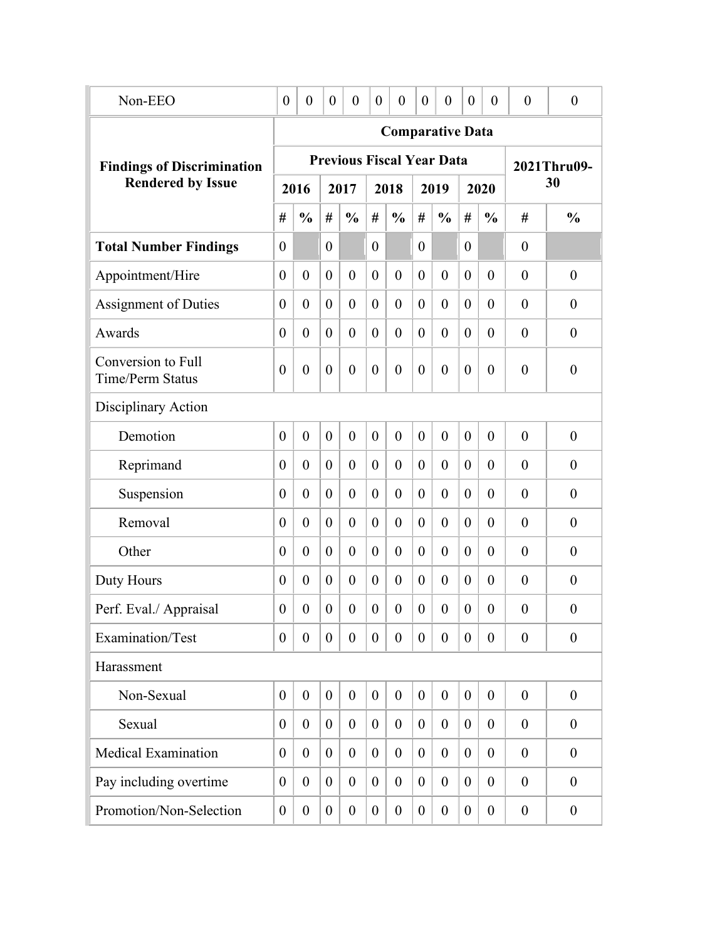| Non-EEO                                       | $\boldsymbol{0}$ | $\boldsymbol{0}$ | $\boldsymbol{0}$ | $\theta$         | $\theta$         | $\boldsymbol{0}$                 | $\theta$         | $\boldsymbol{0}$ | $\boldsymbol{0}$ | $\overline{0}$   | $\boldsymbol{0}$ | $\boldsymbol{0}$ |
|-----------------------------------------------|------------------|------------------|------------------|------------------|------------------|----------------------------------|------------------|------------------|------------------|------------------|------------------|------------------|
|                                               |                  |                  |                  |                  |                  | <b>Comparative Data</b>          |                  |                  |                  |                  |                  |                  |
| <b>Findings of Discrimination</b>             |                  |                  |                  |                  |                  | <b>Previous Fiscal Year Data</b> |                  |                  |                  |                  |                  | 2021Thru09-      |
| <b>Rendered by Issue</b>                      |                  | 2016             |                  | 2017             |                  | 2018                             |                  | 2019             |                  | 2020             |                  | 30               |
|                                               | #                | $\frac{0}{0}$    | #                | $\frac{0}{0}$    | #                | $\frac{0}{0}$                    | #                | $\frac{0}{0}$    | #                | $\frac{0}{0}$    | #                | $\frac{0}{0}$    |
| <b>Total Number Findings</b>                  | $\overline{0}$   |                  | $\theta$         |                  | $\boldsymbol{0}$ |                                  | $\theta$         |                  | $\theta$         |                  | $\overline{0}$   |                  |
| Appointment/Hire                              | $\overline{0}$   | $\overline{0}$   | $\overline{0}$   | $\overline{0}$   | $\overline{0}$   | $\overline{0}$                   | $\theta$         | $\overline{0}$   | $\overline{0}$   | $\theta$         | $\overline{0}$   | $\overline{0}$   |
| <b>Assignment of Duties</b>                   | $\overline{0}$   | $\overline{0}$   | $\theta$         | $\overline{0}$   | $\theta$         | $\overline{0}$                   | $\theta$         | $\overline{0}$   | $\theta$         | $\overline{0}$   | $\overline{0}$   | $\overline{0}$   |
| Awards                                        | $\overline{0}$   | $\overline{0}$   | $\theta$         | $\overline{0}$   | $\overline{0}$   | $\overline{0}$                   | $\theta$         | $\overline{0}$   | $\theta$         | $\overline{0}$   | $\overline{0}$   | $\overline{0}$   |
| Conversion to Full<br><b>Time/Perm Status</b> | $\boldsymbol{0}$ | $\overline{0}$   | $\overline{0}$   | $\boldsymbol{0}$ | $\boldsymbol{0}$ | $\overline{0}$                   | $\overline{0}$   | $\overline{0}$   | $\overline{0}$   | $\theta$         | $\overline{0}$   | $\boldsymbol{0}$ |
| Disciplinary Action                           |                  |                  |                  |                  |                  |                                  |                  |                  |                  |                  |                  |                  |
| Demotion                                      | $\theta$         | $\overline{0}$   | $\overline{0}$   | $\overline{0}$   | $\mathbf{0}$     | $\overline{0}$                   | $\overline{0}$   | $\overline{0}$   | $\overline{0}$   | $\theta$         | $\theta$         | $\boldsymbol{0}$ |
| Reprimand                                     | $\theta$         | $\overline{0}$   | $\theta$         | $\overline{0}$   | $\theta$         | $\overline{0}$                   | $\theta$         | $\theta$         | $\overline{0}$   | $\theta$         | $\theta$         | $\boldsymbol{0}$ |
| Suspension                                    | $\boldsymbol{0}$ | $\overline{0}$   | $\theta$         | $\overline{0}$   | $\theta$         | $\overline{0}$                   | $\theta$         | $\overline{0}$   | $\overline{0}$   | $\overline{0}$   | $\overline{0}$   | $\boldsymbol{0}$ |
| Removal                                       | $\theta$         | $\overline{0}$   | $\theta$         | $\boldsymbol{0}$ | $\theta$         | $\overline{0}$                   | $\overline{0}$   | $\overline{0}$   | $\overline{0}$   | $\overline{0}$   | $\overline{0}$   | $\boldsymbol{0}$ |
| Other                                         | $\theta$         | $\overline{0}$   | $\theta$         | $\boldsymbol{0}$ | $\theta$         | $\overline{0}$                   | $\overline{0}$   | $\overline{0}$   | $\overline{0}$   | $\overline{0}$   | $\overline{0}$   | $\boldsymbol{0}$ |
| Duty Hours                                    | $\boldsymbol{0}$ | $\overline{0}$   | $\theta$         | $\boldsymbol{0}$ | $\boldsymbol{0}$ | $\overline{0}$                   | $\overline{0}$   | $\boldsymbol{0}$ | $\theta$         | $\overline{0}$   | $\overline{0}$   | $\boldsymbol{0}$ |
| Perf. Eval./ Appraisal                        | $\boldsymbol{0}$ | $\boldsymbol{0}$ | $\overline{0}$   | $\boldsymbol{0}$ | $\boldsymbol{0}$ | $\overline{0}$                   | $\boldsymbol{0}$ | $\boldsymbol{0}$ | $\overline{0}$   | $\boldsymbol{0}$ | $\boldsymbol{0}$ | $\boldsymbol{0}$ |
| Examination/Test                              | $\boldsymbol{0}$ | $\overline{0}$   | $\overline{0}$   | $\mathbf{0}$     | $\overline{0}$   | $\overline{0}$                   | $\theta$         | $\overline{0}$   | $\overline{0}$   | $\theta$         | $\overline{0}$   | $\overline{0}$   |
| Harassment                                    |                  |                  |                  |                  |                  |                                  |                  |                  |                  |                  |                  |                  |
| Non-Sexual                                    | $\boldsymbol{0}$ | $\overline{0}$   | $\boldsymbol{0}$ | $\boldsymbol{0}$ | $\boldsymbol{0}$ | $\boldsymbol{0}$                 | $\theta$         | $\boldsymbol{0}$ | $\overline{0}$   | $\boldsymbol{0}$ | $\overline{0}$   | $\overline{0}$   |
| Sexual                                        | $\boldsymbol{0}$ | $\boldsymbol{0}$ | $\boldsymbol{0}$ | $\boldsymbol{0}$ | $\overline{0}$   | $\boldsymbol{0}$                 | $\theta$         | $\boldsymbol{0}$ | $\overline{0}$   | $\boldsymbol{0}$ | $\boldsymbol{0}$ | $\overline{0}$   |
| <b>Medical Examination</b>                    | $\boldsymbol{0}$ | $\boldsymbol{0}$ | $\boldsymbol{0}$ | $\boldsymbol{0}$ | $\boldsymbol{0}$ | $\boldsymbol{0}$                 | $\boldsymbol{0}$ | $\boldsymbol{0}$ | $\theta$         | $\boldsymbol{0}$ | $\boldsymbol{0}$ | $\overline{0}$   |
| Pay including overtime                        | $\boldsymbol{0}$ | $\boldsymbol{0}$ | $\boldsymbol{0}$ | $\boldsymbol{0}$ | $\overline{0}$   | $\boldsymbol{0}$                 | $\theta$         | $\boldsymbol{0}$ | $\theta$         | $\boldsymbol{0}$ | $\boldsymbol{0}$ | $\overline{0}$   |
| Promotion/Non-Selection                       | $\boldsymbol{0}$ | $\boldsymbol{0}$ | $\boldsymbol{0}$ | $\boldsymbol{0}$ | $\boldsymbol{0}$ | $\boldsymbol{0}$                 | $\boldsymbol{0}$ | $\boldsymbol{0}$ | $\overline{0}$   | $\boldsymbol{0}$ | $\boldsymbol{0}$ | $\boldsymbol{0}$ |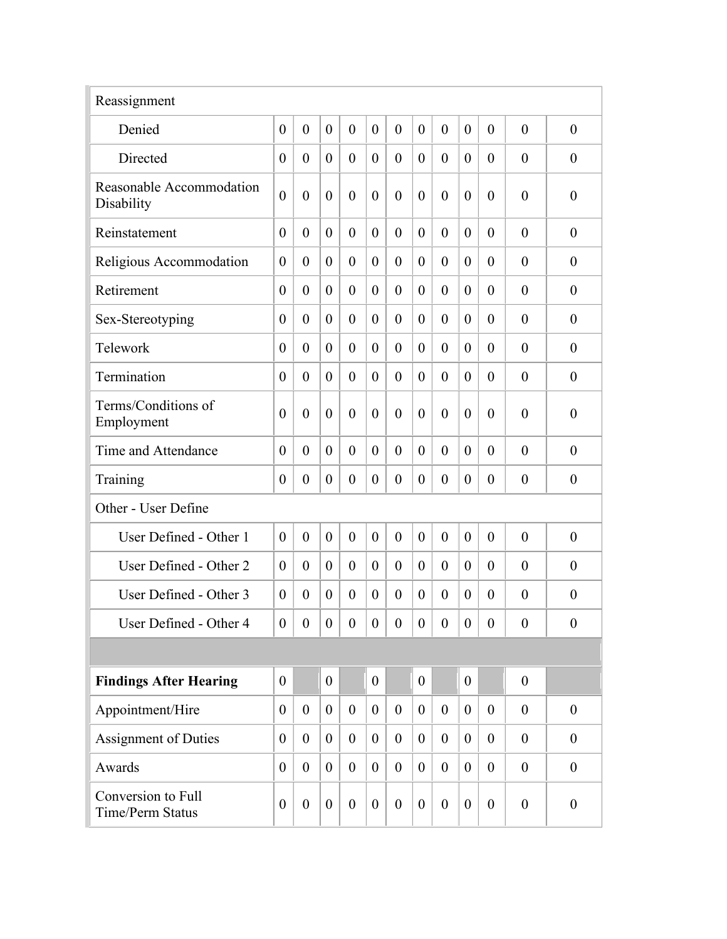| Reassignment                                  |                  |                  |                  |                  |                  |                  |                  |                  |                  |                  |                  |                  |
|-----------------------------------------------|------------------|------------------|------------------|------------------|------------------|------------------|------------------|------------------|------------------|------------------|------------------|------------------|
| Denied                                        | $\overline{0}$   | $\overline{0}$   | $\overline{0}$   | $\overline{0}$   | $\mathbf{0}$     | $\overline{0}$   | $\theta$         | $\overline{0}$   | $\theta$         | $\overline{0}$   | $\theta$         | $\overline{0}$   |
| Directed                                      | $\boldsymbol{0}$ | $\overline{0}$   | $\overline{0}$   | $\boldsymbol{0}$ | $\theta$         | $\theta$         | $\theta$         | $\theta$         | $\overline{0}$   | $\overline{0}$   | $\theta$         | $\boldsymbol{0}$ |
| Reasonable Accommodation<br>Disability        | $\overline{0}$   | $\overline{0}$   | $\theta$         | $\overline{0}$   | $\overline{0}$   | $\overline{0}$   | $\overline{0}$   | $\theta$         | $\theta$         | $\overline{0}$   | $\theta$         | $\overline{0}$   |
| Reinstatement                                 | $\overline{0}$   | $\overline{0}$   | $\overline{0}$   | $\overline{0}$   | $\theta$         | $\overline{0}$   | $\theta$         | $\overline{0}$   | $\theta$         | $\theta$         | $\theta$         | $\overline{0}$   |
| Religious Accommodation                       | $\theta$         | $\overline{0}$   | $\overline{0}$   | $\overline{0}$   | $\theta$         | $\theta$         | $\theta$         | $\overline{0}$   | $\overline{0}$   | $\theta$         | $\theta$         | $\theta$         |
| Retirement                                    | $\overline{0}$   | $\overline{0}$   | $\theta$         | $\overline{0}$   | $\theta$         | $\overline{0}$   | $\theta$         | $\overline{0}$   | $\overline{0}$   | $\theta$         | $\theta$         | $\overline{0}$   |
| Sex-Stereotyping                              | $\overline{0}$   | $\overline{0}$   | $\theta$         | $\overline{0}$   | $\theta$         | $\theta$         | $\theta$         | $\overline{0}$   | $\overline{0}$   | $\theta$         | $\theta$         | $\overline{0}$   |
| Telework                                      | $\overline{0}$   | $\overline{0}$   | $\theta$         | $\overline{0}$   | $\theta$         | $\theta$         | $\theta$         | $\overline{0}$   | $\overline{0}$   | $\theta$         | $\theta$         | $\overline{0}$   |
| Termination                                   | $\theta$         | $\overline{0}$   | $\theta$         | $\overline{0}$   | $\theta$         | $\theta$         | $\theta$         | $\overline{0}$   | $\theta$         | $\theta$         | $\theta$         | $\overline{0}$   |
| Terms/Conditions of<br>Employment             | $\overline{0}$   | $\overline{0}$   | $\theta$         | $\overline{0}$   | $\overline{0}$   | $\overline{0}$   | $\overline{0}$   | $\overline{0}$   | $\theta$         | $\overline{0}$   | $\theta$         | $\overline{0}$   |
| Time and Attendance                           | $\overline{0}$   | $\theta$         | $\theta$         | $\overline{0}$   | $\theta$         | $\overline{0}$   | $\theta$         | $\overline{0}$   | $\theta$         | $\theta$         | $\theta$         | $\theta$         |
| Training                                      | $\theta$         | $\boldsymbol{0}$ | $\theta$         | $\boldsymbol{0}$ | $\boldsymbol{0}$ | $\overline{0}$   | $\theta$         | $\boldsymbol{0}$ | $\overline{0}$   | $\theta$         | $\overline{0}$   | $\boldsymbol{0}$ |
| Other - User Define                           |                  |                  |                  |                  |                  |                  |                  |                  |                  |                  |                  |                  |
| User Defined - Other 1                        | $\overline{0}$   | $\overline{0}$   | $\theta$         | $\overline{0}$   | $\theta$         | $\overline{0}$   | $\theta$         | $\overline{0}$   | $\theta$         | $\overline{0}$   | $\theta$         | $\theta$         |
| User Defined - Other 2                        | $\overline{0}$   | $\theta$         | $\theta$         | $\theta$         | $\theta$         | $\theta$         | $\theta$         | $\theta$         | $\theta$         | $\theta$         | $\theta$         | $\theta$         |
| User Defined - Other 3                        | $\boldsymbol{0}$ | $\theta$         | $\overline{0}$   | $\boldsymbol{0}$ | $\theta$         | $\theta$         | $\theta$         | $\theta$         | $\overline{0}$   | $\theta$         | $\theta$         | $\boldsymbol{0}$ |
| User Defined - Other 4                        | $\boldsymbol{0}$ | $\theta$         | $\boldsymbol{0}$ | $\boldsymbol{0}$ | $\theta$         | $\boldsymbol{0}$ | $\boldsymbol{0}$ | $\theta$         | $\boldsymbol{0}$ | $\theta$         | $\theta$         | $\boldsymbol{0}$ |
|                                               |                  |                  |                  |                  |                  |                  |                  |                  |                  |                  |                  |                  |
| <b>Findings After Hearing</b>                 | $\theta$         |                  | $\boldsymbol{0}$ |                  | $\boldsymbol{0}$ |                  | $\theta$         |                  | $\overline{0}$   |                  | $\overline{0}$   |                  |
| Appointment/Hire                              | $\theta$         | $\boldsymbol{0}$ | $\overline{0}$   | $\overline{0}$   | $\boldsymbol{0}$ | $\overline{0}$   | $\boldsymbol{0}$ | $\theta$         | $\overline{0}$   | $\theta$         | $\theta$         | $\boldsymbol{0}$ |
| Assignment of Duties                          | $\theta$         | $\boldsymbol{0}$ | $\overline{0}$   | $\boldsymbol{0}$ | $\boldsymbol{0}$ | $\overline{0}$   | $\boldsymbol{0}$ | $\boldsymbol{0}$ | $\overline{0}$   | $\boldsymbol{0}$ | $\boldsymbol{0}$ | $\boldsymbol{0}$ |
| Awards                                        | $\overline{0}$   | $\boldsymbol{0}$ | $\overline{0}$   | $\boldsymbol{0}$ | $\boldsymbol{0}$ | $\overline{0}$   | $\overline{0}$   | $\theta$         | $\overline{0}$   | $\boldsymbol{0}$ | $\theta$         | $\boldsymbol{0}$ |
| Conversion to Full<br><b>Time/Perm Status</b> | $\boldsymbol{0}$ | $\boldsymbol{0}$ | $\theta$         | $\boldsymbol{0}$ | $\boldsymbol{0}$ | $\theta$         | $\boldsymbol{0}$ | $\boldsymbol{0}$ | $\theta$         | $\boldsymbol{0}$ | $\boldsymbol{0}$ | $\boldsymbol{0}$ |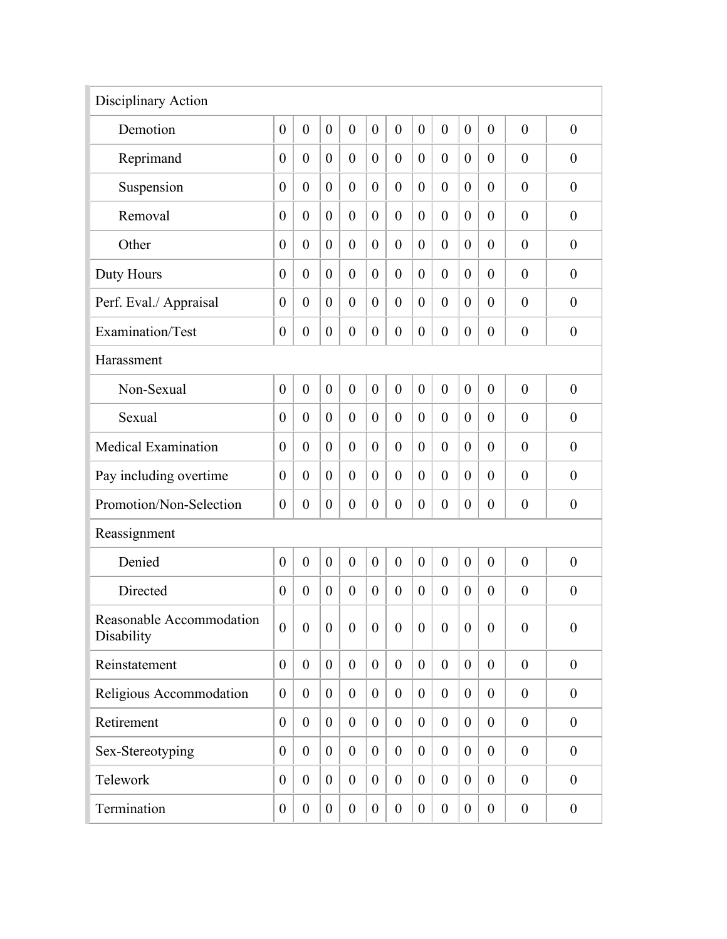| Disciplinary Action                    |                  |                  |                |                  |                  |                  |                  |                  |                |                  |                  |                  |
|----------------------------------------|------------------|------------------|----------------|------------------|------------------|------------------|------------------|------------------|----------------|------------------|------------------|------------------|
| Demotion                               | $\overline{0}$   | $\overline{0}$   | $\mathbf{0}$   | $\overline{0}$   | $\mathbf{0}$     | $\overline{0}$   | $\theta$         | $\overline{0}$   | $\theta$       | $\overline{0}$   | $\overline{0}$   | $\boldsymbol{0}$ |
| Reprimand                              | $\boldsymbol{0}$ | $\overline{0}$   | $\theta$       | $\boldsymbol{0}$ | $\theta$         | $\overline{0}$   | $\theta$         | $\overline{0}$   | $\theta$       | $\overline{0}$   | $\theta$         | $\boldsymbol{0}$ |
| Suspension                             | $\overline{0}$   | $\overline{0}$   | $\theta$       | $\overline{0}$   | $\overline{0}$   | $\overline{0}$   | $\overline{0}$   | $\boldsymbol{0}$ | $\theta$       | $\overline{0}$   | $\overline{0}$   | $\boldsymbol{0}$ |
| Removal                                | $\overline{0}$   | $\overline{0}$   | $\theta$       | $\overline{0}$   | $\theta$         | $\overline{0}$   | $\theta$         | $\boldsymbol{0}$ | $\theta$       | $\theta$         | $\overline{0}$   | $\boldsymbol{0}$ |
| Other                                  | $\overline{0}$   | $\overline{0}$   | $\theta$       | $\overline{0}$   | $\theta$         | $\overline{0}$   | $\theta$         | $\overline{0}$   | $\theta$       | $\overline{0}$   | $\overline{0}$   | $\boldsymbol{0}$ |
| Duty Hours                             | $\overline{0}$   | $\overline{0}$   | $\theta$       | $\overline{0}$   | $\theta$         | $\theta$         | $\theta$         | $\boldsymbol{0}$ | $\theta$       | $\theta$         | $\overline{0}$   | $\boldsymbol{0}$ |
| Perf. Eval./ Appraisal                 | $\overline{0}$   | $\overline{0}$   | $\theta$       | $\overline{0}$   | $\theta$         | $\theta$         | $\theta$         | $\overline{0}$   | $\theta$       | $\theta$         | $\overline{0}$   | $\boldsymbol{0}$ |
| Examination/Test                       | $\boldsymbol{0}$ | $\boldsymbol{0}$ | $\theta$       | $\boldsymbol{0}$ | $\boldsymbol{0}$ | $\overline{0}$   | $\boldsymbol{0}$ | $\boldsymbol{0}$ | $\theta$       | $\boldsymbol{0}$ | $\boldsymbol{0}$ | $\boldsymbol{0}$ |
| Harassment                             |                  |                  |                |                  |                  |                  |                  |                  |                |                  |                  |                  |
| Non-Sexual                             | $\overline{0}$   | $\overline{0}$   | $\mathbf{0}$   | $\overline{0}$   | $\overline{0}$   | $\overline{0}$   | $\theta$         | $\overline{0}$   | $\mathbf{0}$   | $\overline{0}$   | $\overline{0}$   | $\boldsymbol{0}$ |
| Sexual                                 | $\theta$         | $\overline{0}$   | $\theta$       | $\overline{0}$   | $\theta$         | $\overline{0}$   | $\theta$         | $\overline{0}$   | $\overline{0}$ | $\overline{0}$   | $\overline{0}$   | $\boldsymbol{0}$ |
| <b>Medical Examination</b>             | $\theta$         | $\overline{0}$   | $\theta$       | $\overline{0}$   | $\theta$         | $\overline{0}$   | $\theta$         | $\overline{0}$   | $\overline{0}$ | $\overline{0}$   | $\overline{0}$   | $\boldsymbol{0}$ |
| Pay including overtime                 | $\overline{0}$   | $\overline{0}$   | $\theta$       | $\overline{0}$   | $\theta$         | $\theta$         | $\theta$         | $\overline{0}$   | $\theta$       | $\overline{0}$   | $\overline{0}$   | $\boldsymbol{0}$ |
| Promotion/Non-Selection                | $\overline{0}$   | $\overline{0}$   | $\theta$       | $\overline{0}$   | $\theta$         | $\overline{0}$   | $\theta$         | $\boldsymbol{0}$ | $\theta$       | $\overline{0}$   | $\boldsymbol{0}$ | $\boldsymbol{0}$ |
| Reassignment                           |                  |                  |                |                  |                  |                  |                  |                  |                |                  |                  |                  |
| Denied                                 | $\overline{0}$   | $\overline{0}$   | $\mathbf{0}$   | $\overline{0}$   | $\overline{0}$   | $\overline{0}$   | $\overline{0}$   | $\overline{0}$   | $\theta$       | $\overline{0}$   | $\overline{0}$   | $\overline{0}$   |
| Directed                               | $\overline{0}$   | $\overline{0}$   | $\theta$       | $\overline{0}$   | $\theta$         | $\overline{0}$   | $\theta$         | $\overline{0}$   | $\theta$       | $\theta$         | $\overline{0}$   | $\boldsymbol{0}$ |
| Reasonable Accommodation<br>Disability | $\overline{0}$   | $\overline{0}$   | $\overline{0}$ | $\overline{0}$   | $\mathbf{0}$     | $\overline{0}$   | $\overline{0}$   | $\overline{0}$   | $\overline{0}$ | $\overline{0}$   | $\overline{0}$   | $\boldsymbol{0}$ |
| Reinstatement                          | $\theta$         | $\overline{0}$   | $\overline{0}$ | $\theta$         | $\overline{0}$   | $\overline{0}$   | $\overline{0}$   | $\theta$         | $\overline{0}$ | $\theta$         | $\mathbf{0}$     | $\boldsymbol{0}$ |
| Religious Accommodation                | $\boldsymbol{0}$ | $\boldsymbol{0}$ | $\overline{0}$ | $\boldsymbol{0}$ | $\boldsymbol{0}$ | $\overline{0}$   | $\overline{0}$   | $\boldsymbol{0}$ | $\overline{0}$ | $\boldsymbol{0}$ | $\boldsymbol{0}$ | $\boldsymbol{0}$ |
| Retirement                             | $\boldsymbol{0}$ | $\boldsymbol{0}$ | $\overline{0}$ | $\boldsymbol{0}$ | $\boldsymbol{0}$ | $\overline{0}$   | $\overline{0}$   | $\boldsymbol{0}$ | $\overline{0}$ | $\boldsymbol{0}$ | $\boldsymbol{0}$ | $\boldsymbol{0}$ |
| Sex-Stereotyping                       | $\boldsymbol{0}$ | $\boldsymbol{0}$ | $\overline{0}$ | $\boldsymbol{0}$ | $\boldsymbol{0}$ | $\overline{0}$   | $\overline{0}$   | $\boldsymbol{0}$ | $\overline{0}$ | $\boldsymbol{0}$ | $\boldsymbol{0}$ | $\boldsymbol{0}$ |
| Telework                               | $\theta$         | $\boldsymbol{0}$ | $\overline{0}$ | $\boldsymbol{0}$ | $\boldsymbol{0}$ | $\boldsymbol{0}$ | $\mathbf{0}$     | $\boldsymbol{0}$ | $\overline{0}$ | $\boldsymbol{0}$ | $\boldsymbol{0}$ | $\boldsymbol{0}$ |
| Termination                            | $\boldsymbol{0}$ | $\boldsymbol{0}$ | $\overline{0}$ | $\boldsymbol{0}$ | $\boldsymbol{0}$ | $\overline{0}$   | $\mathbf{0}$     | $\boldsymbol{0}$ | $\overline{0}$ | $\boldsymbol{0}$ | $\boldsymbol{0}$ | $\boldsymbol{0}$ |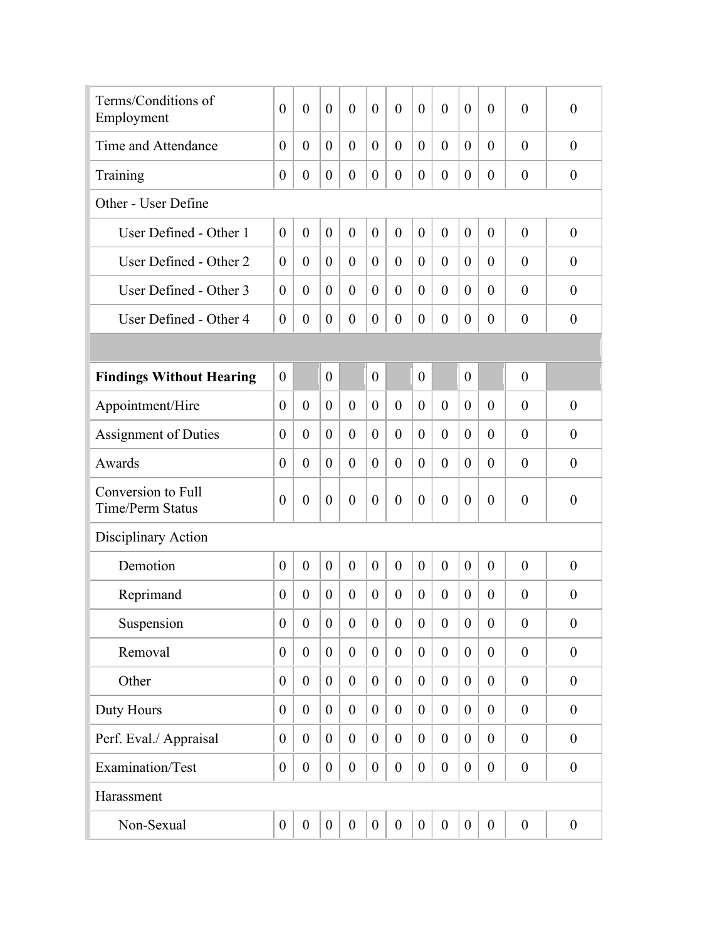| Terms/Conditions of<br>Employment             | $\overline{0}$   | $\overline{0}$   | $\theta$         | $\overline{0}$   | $\overline{0}$   | $\overline{0}$   | $\theta$         | $\overline{0}$   | $\theta$         | $\overline{0}$   | $\theta$         | $\overline{0}$   |
|-----------------------------------------------|------------------|------------------|------------------|------------------|------------------|------------------|------------------|------------------|------------------|------------------|------------------|------------------|
| Time and Attendance                           | $\overline{0}$   | $\overline{0}$   | $\overline{0}$   | $\overline{0}$   | $\theta$         | $\theta$         | $\overline{0}$   | $\overline{0}$   | $\overline{0}$   | $\overline{0}$   | $\theta$         | $\overline{0}$   |
| Training                                      | $\boldsymbol{0}$ | $\boldsymbol{0}$ | $\overline{0}$   | $\boldsymbol{0}$ | $\boldsymbol{0}$ | $\overline{0}$   | $\boldsymbol{0}$ | $\boldsymbol{0}$ | $\overline{0}$   | $\overline{0}$   | $\overline{0}$   | $\boldsymbol{0}$ |
| Other - User Define                           |                  |                  |                  |                  |                  |                  |                  |                  |                  |                  |                  |                  |
| User Defined - Other 1                        | $\overline{0}$   | $\overline{0}$   | $\overline{0}$   | $\overline{0}$   | $\theta$         | $\mathbf{0}$     | $\theta$         | $\overline{0}$   | $\theta$         | $\overline{0}$   | $\theta$         | $\boldsymbol{0}$ |
| User Defined - Other 2                        | $\overline{0}$   | $\theta$         | $\overline{0}$   | $\overline{0}$   | $\theta$         | $\theta$         | $\theta$         | $\overline{0}$   | $\overline{0}$   | $\overline{0}$   | $\theta$         | $\overline{0}$   |
| User Defined - Other 3                        | $\overline{0}$   | $\overline{0}$   | $\theta$         | $\overline{0}$   | $\theta$         | $\theta$         | $\theta$         | $\overline{0}$   | $\theta$         | $\overline{0}$   | $\theta$         | $\overline{0}$   |
| User Defined - Other 4                        | $\boldsymbol{0}$ | $\overline{0}$   | $\theta$         | $\overline{0}$   | $\theta$         | $\theta$         | $\theta$         | $\overline{0}$   | $\overline{0}$   | $\theta$         | $\theta$         | $\overline{0}$   |
|                                               |                  |                  |                  |                  |                  |                  |                  |                  |                  |                  |                  |                  |
| <b>Findings Without Hearing</b>               | $\overline{0}$   |                  | $\boldsymbol{0}$ |                  | $\theta$         |                  | $\overline{0}$   |                  | $\theta$         |                  | $\theta$         |                  |
| Appointment/Hire                              | $\overline{0}$   | $\overline{0}$   | $\theta$         | $\overline{0}$   | $\theta$         | $\mathbf{0}$     | $\theta$         | $\overline{0}$   | $\theta$         | $\overline{0}$   | $\theta$         | $\overline{0}$   |
| <b>Assignment of Duties</b>                   | $\theta$         | $\overline{0}$   | $\theta$         | $\overline{0}$   | $\theta$         | $\theta$         | $\theta$         | $\overline{0}$   | $\overline{0}$   | $\theta$         | $\overline{0}$   | $\overline{0}$   |
| Awards                                        | $\overline{0}$   | $\overline{0}$   | $\theta$         | $\overline{0}$   | $\theta$         | $\overline{0}$   | $\theta$         | $\overline{0}$   | $\overline{0}$   | $\theta$         | $\overline{0}$   | $\boldsymbol{0}$ |
| Conversion to Full<br><b>Time/Perm Status</b> | $\overline{0}$   | $\overline{0}$   | $\theta$         | $\boldsymbol{0}$ | $\overline{0}$   | $\overline{0}$   | $\overline{0}$   | $\overline{0}$   | $\theta$         | $\overline{0}$   | $\theta$         | $\overline{0}$   |
| Disciplinary Action                           |                  |                  |                  |                  |                  |                  |                  |                  |                  |                  |                  |                  |
| Demotion                                      | $\overline{0}$   | $\overline{0}$   | $\theta$         | $\boldsymbol{0}$ | $\theta$         | $\mathbf{0}$     | $\theta$         | $\overline{0}$   | $\theta$         | $\overline{0}$   | $\theta$         | $\boldsymbol{0}$ |
| Reprimand                                     | $\boldsymbol{0}$ | $\theta$         | $\theta$         | $\boldsymbol{0}$ | $\theta$         | $\overline{0}$   | $\theta$         | $\overline{0}$   | $\overline{0}$   | $\theta$         | $\theta$         | $\boldsymbol{0}$ |
| Suspension                                    | $\boldsymbol{0}$ | $\boldsymbol{0}$ | $\boldsymbol{0}$ | $\boldsymbol{0}$ | $\boldsymbol{0}$ | $\boldsymbol{0}$ | $\boldsymbol{0}$ | $\boldsymbol{0}$ | $\boldsymbol{0}$ | $\boldsymbol{0}$ | $\boldsymbol{0}$ | $\boldsymbol{0}$ |
| Removal                                       | $\boldsymbol{0}$ | $\boldsymbol{0}$ | $\overline{0}$   | $\boldsymbol{0}$ | $\boldsymbol{0}$ | $\overline{0}$   | $\boldsymbol{0}$ | $\boldsymbol{0}$ | $\overline{0}$   | $\boldsymbol{0}$ | $\boldsymbol{0}$ | $\boldsymbol{0}$ |
| Other                                         | $\boldsymbol{0}$ | $\boldsymbol{0}$ | $\overline{0}$   | $\boldsymbol{0}$ | $\boldsymbol{0}$ | $\overline{0}$   | $\boldsymbol{0}$ | $\boldsymbol{0}$ | $\overline{0}$   | $\boldsymbol{0}$ | $\boldsymbol{0}$ | $\boldsymbol{0}$ |
| Duty Hours                                    | $\boldsymbol{0}$ | $\boldsymbol{0}$ | $\overline{0}$   | $\boldsymbol{0}$ | $\boldsymbol{0}$ | $\overline{0}$   | $\boldsymbol{0}$ | $\theta$         | $\overline{0}$   | $\theta$         | $\boldsymbol{0}$ | $\boldsymbol{0}$ |
| Perf. Eval./ Appraisal                        | $\boldsymbol{0}$ | $\mathbf{0}$     | $\overline{0}$   | $\boldsymbol{0}$ | $\boldsymbol{0}$ | $\overline{0}$   | $\theta$         | $\mathbf{0}$     | $\overline{0}$   | $\overline{0}$   | $\boldsymbol{0}$ | $\boldsymbol{0}$ |
| Examination/Test                              | $\boldsymbol{0}$ | $\boldsymbol{0}$ | $\boldsymbol{0}$ | $\boldsymbol{0}$ | $\boldsymbol{0}$ | $\boldsymbol{0}$ | $\boldsymbol{0}$ | $\boldsymbol{0}$ | $\overline{0}$   | $\boldsymbol{0}$ | $\boldsymbol{0}$ | $\boldsymbol{0}$ |
| Harassment                                    |                  |                  |                  |                  |                  |                  |                  |                  |                  |                  |                  |                  |
| Non-Sexual                                    | $\boldsymbol{0}$ | $\boldsymbol{0}$ | $\boldsymbol{0}$ | $\boldsymbol{0}$ | $\boldsymbol{0}$ | $\boldsymbol{0}$ | $\boldsymbol{0}$ | $\boldsymbol{0}$ | $\boldsymbol{0}$ | $\boldsymbol{0}$ | $\boldsymbol{0}$ | $\boldsymbol{0}$ |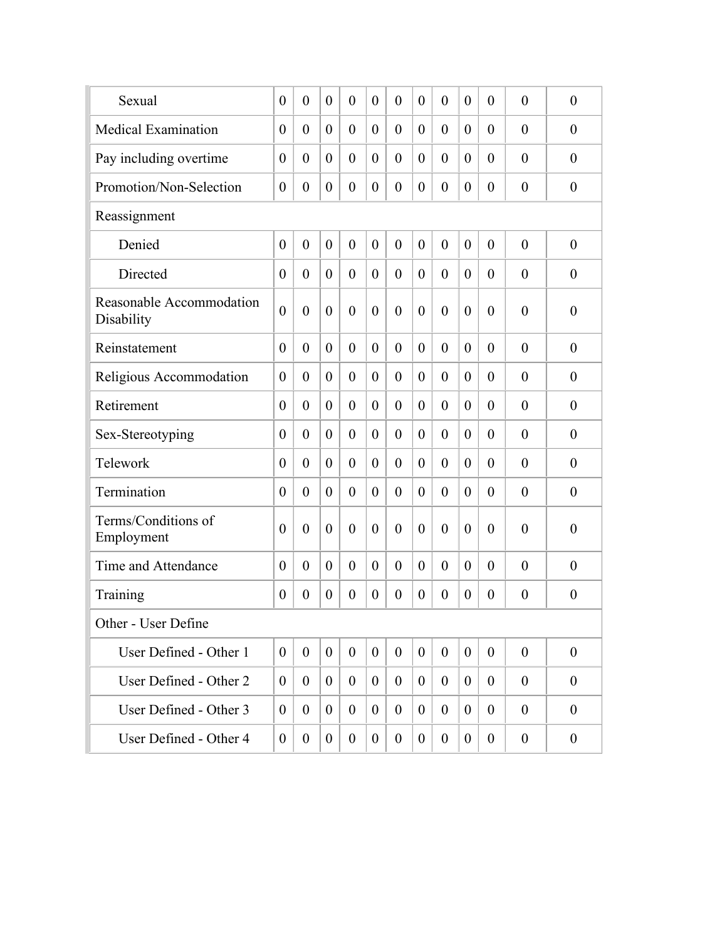| Sexual                                 | $\overline{0}$   | $\overline{0}$   | $\theta$       | $\overline{0}$   | $\theta$         | $\theta$         | $\overline{0}$   | $\overline{0}$   | $\theta$         | $\overline{0}$ | $\overline{0}$   | $\overline{0}$   |
|----------------------------------------|------------------|------------------|----------------|------------------|------------------|------------------|------------------|------------------|------------------|----------------|------------------|------------------|
| <b>Medical Examination</b>             | $\theta$         | $\theta$         | $\overline{0}$ | $\overline{0}$   | $\overline{0}$   | $\overline{0}$   | $\theta$         | $\overline{0}$   | $\theta$         | $\theta$       | $\overline{0}$   | $\overline{0}$   |
| Pay including overtime                 | $\theta$         | $\overline{0}$   | $\theta$       | $\overline{0}$   | $\theta$         | $\overline{0}$   | $\theta$         | $\overline{0}$   | $\theta$         | $\theta$       | $\theta$         | $\overline{0}$   |
| Promotion/Non-Selection                | $\boldsymbol{0}$ | $\boldsymbol{0}$ | $\overline{0}$ | $\boldsymbol{0}$ | $\boldsymbol{0}$ | $\overline{0}$   | $\boldsymbol{0}$ | $\boldsymbol{0}$ | $\theta$         | $\overline{0}$ | $\overline{0}$   | $\boldsymbol{0}$ |
| Reassignment                           |                  |                  |                |                  |                  |                  |                  |                  |                  |                |                  |                  |
| Denied                                 | $\overline{0}$   | $\overline{0}$   | $\theta$       | $\overline{0}$   | $\theta$         | $\theta$         | $\overline{0}$   | $\overline{0}$   | $\theta$         | $\overline{0}$ | $\overline{0}$   | $\overline{0}$   |
| Directed                               | $\overline{0}$   | $\overline{0}$   | $\theta$       | $\theta$         | $\overline{0}$   | $\theta$         | $\theta$         | $\overline{0}$   | $\theta$         | $\overline{0}$ | $\theta$         | $\overline{0}$   |
| Reasonable Accommodation<br>Disability | $\overline{0}$   | $\overline{0}$   | $\theta$       | $\overline{0}$   | $\theta$         | $\overline{0}$   | $\overline{0}$   | $\overline{0}$   | $\overline{0}$   | $\theta$       | $\overline{0}$   | $\boldsymbol{0}$ |
| Reinstatement                          | $\overline{0}$   | $\overline{0}$   | $\theta$       | $\overline{0}$   | $\theta$         | $\overline{0}$   | $\theta$         | $\overline{0}$   | $\theta$         | $\overline{0}$ | $\theta$         | $\overline{0}$   |
| Religious Accommodation                | $\theta$         | $\theta$         | $\theta$       | $\overline{0}$   | $\overline{0}$   | $\theta$         | $\theta$         | $\theta$         | $\theta$         | $\theta$       | $\theta$         | $\theta$         |
| Retirement                             | $\overline{0}$   | $\theta$         | $\theta$       | $\overline{0}$   | $\theta$         | $\theta$         | $\theta$         | $\overline{0}$   | $\theta$         | $\theta$       | $\theta$         | $\theta$         |
| Sex-Stereotyping                       | $\overline{0}$   | $\theta$         | $\theta$       | $\overline{0}$   | $\theta$         | $\theta$         | $\theta$         | $\overline{0}$   | $\theta$         | $\theta$       | $\theta$         | $\theta$         |
| Telework                               | $\theta$         | $\theta$         | $\theta$       | $\overline{0}$   | $\theta$         | $\theta$         | $\theta$         | $\theta$         | $\theta$         | $\theta$       | $\theta$         | $\theta$         |
| Termination                            | $\theta$         | $\theta$         | $\overline{0}$ | $\boldsymbol{0}$ | $\theta$         | $\overline{0}$   | $\theta$         | $\overline{0}$   | $\theta$         | $\theta$       | $\overline{0}$   | $\boldsymbol{0}$ |
| Terms/Conditions of<br>Employment      | $\theta$         | $\overline{0}$   | $\theta$       | $\overline{0}$   | $\theta$         | $\overline{0}$   | $\overline{0}$   | $\overline{0}$   | $\overline{0}$   | $\overline{0}$ | $\theta$         | $\boldsymbol{0}$ |
| Time and Attendance                    | $\theta$         | $\overline{0}$   | $\theta$       | $\overline{0}$   | $\overline{0}$   | $\theta$         | $\overline{0}$   | $\overline{0}$   | $\theta$         | $\overline{0}$ | $\theta$         | $\overline{0}$   |
| Training                               | $\theta$         | $\theta$         | $\overline{0}$ | $\boldsymbol{0}$ | $\boldsymbol{0}$ | $\overline{0}$   | $\theta$         | $\overline{0}$   | $\theta$         | $\theta$       | $\overline{0}$   | $\boldsymbol{0}$ |
| Other - User Define                    |                  |                  |                |                  |                  |                  |                  |                  |                  |                |                  |                  |
| User Defined - Other 1                 | $\mathbf{0}$     | $\overline{0}$   | $\overline{0}$ | $\boldsymbol{0}$ | $\boldsymbol{0}$ | $\boldsymbol{0}$ | $\overline{0}$   | $\boldsymbol{0}$ | $\boldsymbol{0}$ | $\overline{0}$ | $\theta$         | $\mathbf{0}$     |
| User Defined - Other 2                 | $\mathbf{0}$     | $\overline{0}$   | $\overline{0}$ | $\boldsymbol{0}$ | $\mathbf{0}$     | $\boldsymbol{0}$ | $\overline{0}$   | $\boldsymbol{0}$ | $\overline{0}$   | $\mathbf{0}$   | $\boldsymbol{0}$ | $\boldsymbol{0}$ |
| User Defined - Other 3                 | $\mathbf{0}$     | $\overline{0}$   | $\overline{0}$ | $\boldsymbol{0}$ | $\boldsymbol{0}$ | $\boldsymbol{0}$ | $\overline{0}$   | $\boldsymbol{0}$ | $\overline{0}$   | $\overline{0}$ | $\theta$         | $\overline{0}$   |
| User Defined - Other 4                 | $\overline{0}$   | $\boldsymbol{0}$ | $\overline{0}$ | $\boldsymbol{0}$ | $\boldsymbol{0}$ | $\boldsymbol{0}$ | $\boldsymbol{0}$ | $\boldsymbol{0}$ | $\mathbf{0}$     | $\overline{0}$ | $\boldsymbol{0}$ | $\overline{0}$   |